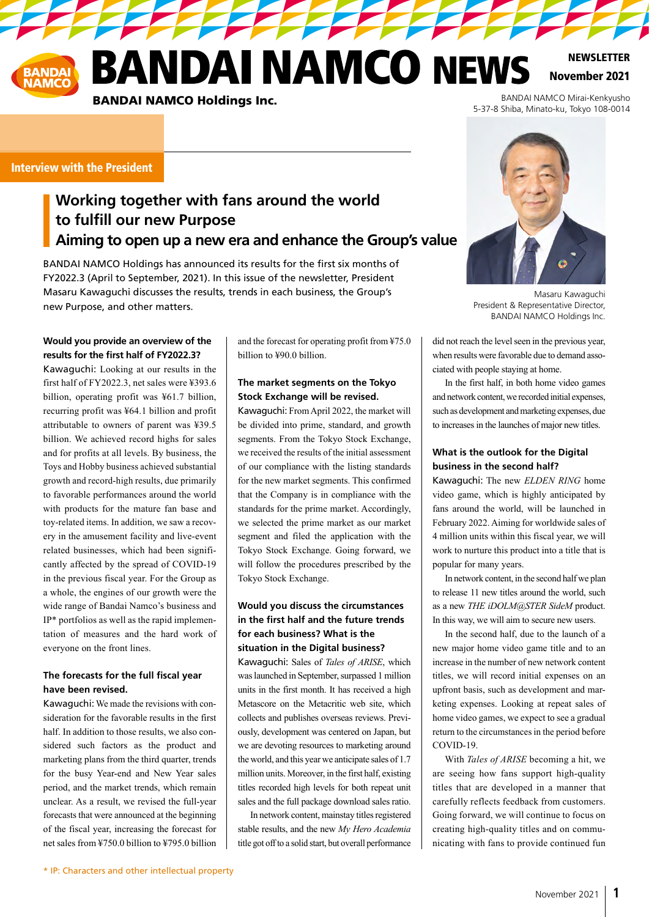**ANDAI NAMCO NEWS** 

**TAN TAN TAN TAN** 

November 2021 **NEWSLETTER** 

BANDAI NAMCO Mirai-Kenkyusho 5-37-8 Shiba, Minato-ku, Tokyo 108-0014

#### Interview with the President

# **Working together with fans around the world to fulfill our new Purpose Aiming to open up a new era and enhance the Group's value**

BANDAI NAMCO Holdings has announced its results for the first six months of FY2022.3 (April to September, 2021). In this issue of the newsletter, President Masaru Kawaguchi discusses the results, trends in each business, the Group's new Purpose, and other matters.

BANDAI NAMCO Holdings Inc.

#### **Would you provide an overview of the results for the first half of FY2022.3?**

Kawaguchi: Looking at our results in the first half of FY2022.3, net sales were ¥393.6 billion, operating profit was ¥61.7 billion, recurring profit was ¥64.1 billion and profit attributable to owners of parent was ¥39.5 billion. We achieved record highs for sales and for profits at all levels. By business, the Toys and Hobby business achieved substantial growth and record-high results, due primarily to favorable performances around the world with products for the mature fan base and toy-related items. In addition, we saw a recovery in the amusement facility and live-event related businesses, which had been significantly affected by the spread of COVID-19 in the previous fiscal year. For the Group as a whole, the engines of our growth were the wide range of Bandai Namco's business and IP\* portfolios as well as the rapid implementation of measures and the hard work of everyone on the front lines.

#### **The forecasts for the full fiscal year have been revised.**

Kawaguchi: We made the revisions with consideration for the favorable results in the first half. In addition to those results, we also considered such factors as the product and marketing plans from the third quarter, trends for the busy Year-end and New Year sales period, and the market trends, which remain unclear. As a result, we revised the full-year forecasts that were announced at the beginning of the fiscal year, increasing the forecast for net sales from ¥750.0 billion to ¥795.0 billion and the forecast for operating profit from ¥75.0 billion to ¥90.0 billion.

### **The market segments on the Tokyo Stock Exchange will be revised.**

Kawaguchi: From April 2022, the market will be divided into prime, standard, and growth segments. From the Tokyo Stock Exchange, we received the results of the initial assessment of our compliance with the listing standards for the new market segments. This confirmed that the Company is in compliance with the standards for the prime market. Accordingly, we selected the prime market as our market segment and filed the application with the Tokyo Stock Exchange. Going forward, we will follow the procedures prescribed by the Tokyo Stock Exchange.

#### **Would you discuss the circumstances in the first half and the future trends for each business? What is the situation in the Digital business?**

Kawaguchi: Sales of *Tales of ARISE*, which was launched in September, surpassed 1 million units in the first month. It has received a high Metascore on the Metacritic web site, which collects and publishes overseas reviews. Previously, development was centered on Japan, but we are devoting resources to marketing around the world, and this year we anticipate sales of 1.7 million units. Moreover, in the first half, existing titles recorded high levels for both repeat unit sales and the full package download sales ratio.

In network content, mainstay titles registered stable results, and the new *My Hero Academia* title got off to a solid start, but overall performance



Masaru Kawaguchi President & Representative Director, BANDAI NAMCO Holdings Inc.

did not reach the level seen in the previous year, when results were favorable due to demand associated with people staying at home.

In the first half, in both home video games and network content, we recorded initial expenses, such as development and marketing expenses, due to increases in the launches of major new titles.

### **What is the outlook for the Digital business in the second half?**

Kawaguchi: The new *ELDEN RING* home video game, which is highly anticipated by fans around the world, will be launched in February 2022. Aiming for worldwide sales of 4 million units within this fiscal year, we will work to nurture this product into a title that is popular for many years.

In network content, in the second half we plan to release 11 new titles around the world, such as a new *THE iDOLM@STER SideM* product. In this way, we will aim to secure new users.

In the second half, due to the launch of a new major home video game title and to an increase in the number of new network content titles, we will record initial expenses on an upfront basis, such as development and marketing expenses. Looking at repeat sales of home video games, we expect to see a gradual return to the circumstances in the period before COVID-19.

With *Tales of ARISE* becoming a hit, we are seeing how fans support high-quality titles that are developed in a manner that carefully reflects feedback from customers. Going forward, we will continue to focus on creating high-quality titles and on communicating with fans to provide continued fun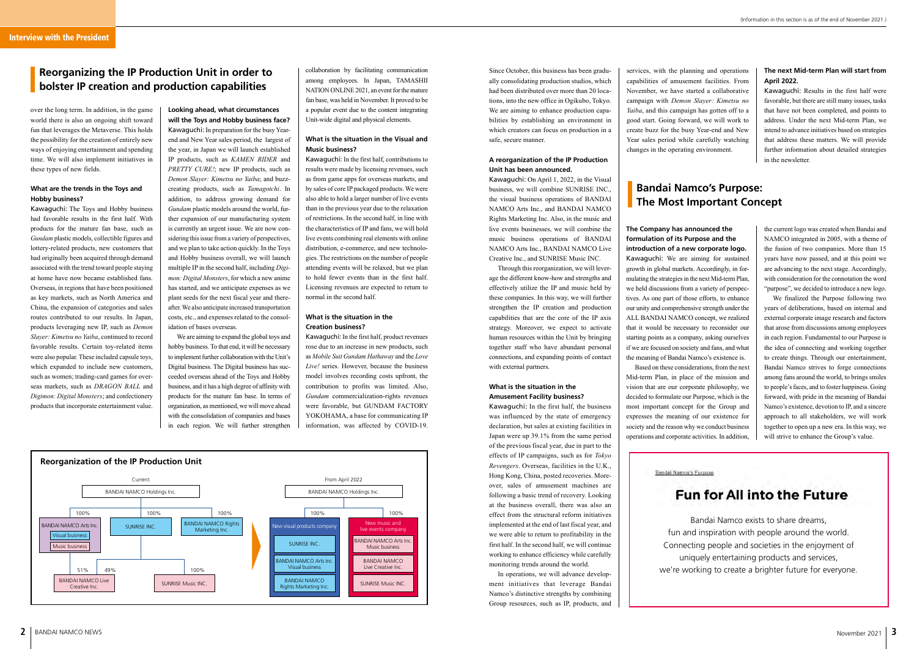**Looking ahead, what circumstances will the Toys and Hobby business face?** Kawaguchi: In preparation for the busy Yearend and New Year sales period, the largest of the year, in Japan we will launch established IP products, such as *KAMEN RIDER* and *PRETTY CURE!*; new IP products, such as *Demon Slayer: Kimetsu no Yaiba*; and buzzcreating products, such as *Tamagotchi*. In addition, to address growing demand for *Gundam* plastic models around the world, further expansion of our manufacturing system is currently an urgent issue. We are now considering this issue from a variety of perspectives, and we plan to take action quickly. In the Toys and Hobby business overall, we will launch multiple IP in the second half, including *Digimon: Digital Monsters*, for which a new anime has started, and we anticipate expenses as we plant seeds for the next fiscal year and thereafter. We also anticipate increased transportation costs, etc., and expenses related to the consolidation of bases overseas.

We are aiming to expand the global toys and hobby business. To that end, it will be necessary to implement further collaboration with the Unit's Digital business. The Digital business has succeeded overseas ahead of the Toys and Hobby business, and it has a high degree of affinity with products for the mature fan base. In terms of organization, as mentioned, we will move ahead with the consolidation of companies and bases in each region. We will further strengthen



### **What is the situation in the Visual and Music business?**

Kawaguchi: In the first half, contributions to results were made by licensing revenues, such as from game apps for overseas markets, and by sales of core IP packaged products. We were also able to hold a larger number of live events than in the previous year due to the relaxation of restrictions. In the second half, in line with the characteristics of IP and fans, we will hold live events combining real elements with online distribution, e-commerce, and new technologies. The restrictions on the number of people attending events will be relaxed, but we plan to hold fewer events than in the first half. Licensing revenues are expected to return to normal in the second half.

#### **What is the situation in the Creation business?**

Kawaguchi: In the first half, product revenues rose due to an increase in new products, such as *Mobile Suit Gundam Hathaway* and the *Love Live!* series. However, because the business model involves recording costs upfront, the contribution to profits was limited. Also, *Gundam* commercialization-rights revenues were favorable, but GUNDAM FACTORY YOKOHAMA, a base for communicating IP information, was affected by COVID-19.

over the long term. In addition, in the game world there is also an ongoing shift toward fun that leverages the Metaverse. This holds the possibility for the creation of entirely new ways of enjoying entertainment and spending time. We will also implement initiatives in these types of new fields.

#### **What are the trends in the Toys and Hobby business?**

Kawaguchi: The Toys and Hobby business had favorable results in the first half. With products for the mature fan base, such as *Gundam* plastic models, collectible figures and lottery-related products, new customers that had originally been acquired through demand associated with the trend toward people staying at home have now became established fans. Overseas, in regions that have been positioned as key markets, such as North America and China, the expansion of categories and sales routes contributed to our results. In Japan, products leveraging new IP, such as *Demon Slayer: Kimetsu no Yaiba*, continued to record favorable results. Certain toy-related items were also popular. These included capsule toys, which expanded to include new customers, such as women; trading-card games for overseas markets, such as *DRAGON BALL* and *Digimon: Digital Monsters*; and confectionery products that incorporate entertainment value.

# **Reorganizing the IP Production Unit in order to bolster IP creation and production capabilities**

Since October, this business has been gradually consolidating production studios, which had been distributed over more than 20 locations, into the new office in Ogikubo, Tokyo. We are aiming to enhance production capabilities by establishing an environment in which creators can focus on production in a safe, secure manner.

#### **A reorganization of the IP Production Unit has been announced.**

Kawaguchi: On April 1, 2022, in the Visual business, we will combine SUNRISE INC., the visual business operations of BANDAI NAMCO Arts Inc., and BANDAI NAMCO Rights Marketing Inc. Also, in the music and live events businesses, we will combine the music business operations of BANDAI NAMCO Arts Inc., BANDAI NAMCO Live Creative Inc., and SUNRISE Music INC.



Through this reorganization, we will leverage the different know-how and strengths and effectively utilize the IP and music held by these companies. In this way, we will further strengthen the IP creation and production capabilities that are the core of the IP axis strategy. Moreover, we expect to activate human resources within the Unit by bringing together staff who have abundant personal connections, and expanding points of contact with external partners.

#### **What is the situation in the Amusement Facility business?**

Kawaguchi: In the first half, the business was influenced by the state of emergency declaration, but sales at existing facilities in Japan were up 39.1% from the same period of the previous fiscal year, due in part to the effects of IP campaigns, such as for *Tokyo Revengers*. Overseas, facilities in the U.K., Hong Kong, China, posted recoveries. Moreover, sales of amusement machines are following a basic trend of recovery. Looking at the business overall, there was also an effect from the structural reform initiatives implemented at the end of last fiscal year, and we were able to return to profitability in the first half. In the second half, we will continue working to enhance efficiency while carefully monitoring trends around the world.

In operations, we will advance development initiatives that leverage Bandai Namco's distinctive strengths by combining Group resources, such as IP, products, and

# **Bandai Namco's Purpose: The Most Important Concept**

- Bandai Namco exists to share dreams,
- fun and inspiration with people around the world.
- Connecting people and societies in the enjoyment of
	- uniquely entertaining products and services,
- we're working to create a brighter future for everyone.

services, with the planning and operations capabilities of amusement facilities. From November, we have started a collaborative campaign with *Demon Slayer: Kimetsu no Yaiba*, and this campaign has gotten off to a good start. Going forward, we will work to create buzz for the busy Year-end and New Year sales period while carefully watching changes in the operating environment.

#### **The next Mid-term Plan will start from April 2022.**

Kawaguchi: Results in the first half were favorable, but there are still many issues, tasks that have not been completed, and points to address. Under the next Mid-term Plan, we intend to advance initiatives based on strategies that address these matters. We will provide further information about detailed strategies in the newsletter.

**The Company has announced the formulation of its Purpose and the introduction of a new corporate logo.** Kawaguchi: We are aiming for sustained growth in global markets. Accordingly, in formulating the strategies in the next Mid-term Plan, we held discussions from a variety of perspectives. As one part of those efforts, to enhance our unity and comprehensive strength under the ALL BANDAI NAMCO concept, we realized that it would be necessary to reconsider our starting points as a company, asking ourselves if we are focused on society and fans, and what the meaning of Bandai Namco's existence is.

Based on these considerations, from the next Mid-term Plan, in place of the mission and vision that are our corporate philosophy, we decided to formulate our Purpose, which is the most important concept for the Group and expresses the meaning of our existence for society and the reason why we conduct business operations and corporate activities. In addition,

Bandai Namco's Purpose

the current logo was created when Bandai and NAMCO integrated in 2005, with a theme of the fusion of two companies. More than 15 years have now passed, and at this point we are advancing to the next stage. Accordingly, with consideration for the connotation the word "purpose", we decided to introduce a new logo.

We finalized the Purpose following two years of deliberations, based on internal and external corporate image research and factors that arose from discussions among employees in each region. Fundamental to our Purpose is the idea of connecting and working together to create things. Through our entertainment, Bandai Namco strives to forge connections among fans around the world, to brings smiles to people's faces, and to foster happiness. Going forward, with pride in the meaning of Bandai Namco's existence, devotion to IP, and a sincere approach to all stakeholders, we will work together to open up a new era. In this way, we will strive to enhance the Group's value.

# **Fun for All into the Future**